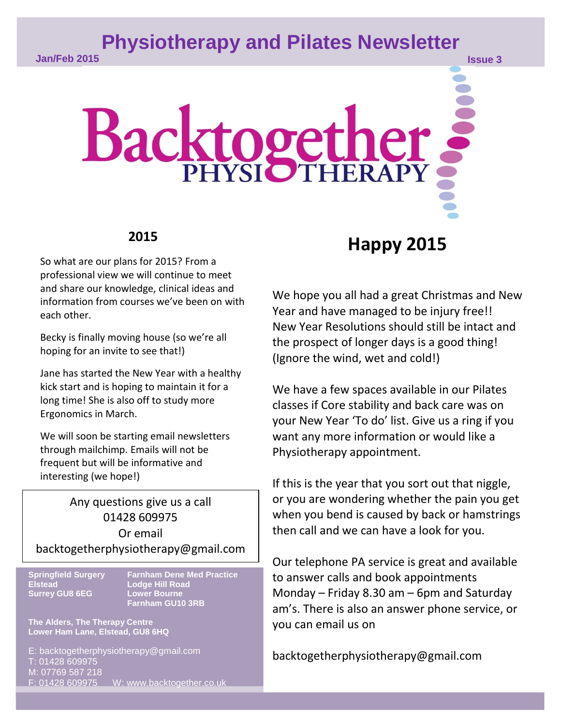## **Physiotherapy and Pilates Newsletter**

# Backtogether,

#### **2015**

So what are our plans for 2015? From a professional view we will continue to meet and share our knowledge, clinical ideas and information from courses we've been on with each other.

Becky is finally moving house (so we're all hoping for an invite to see that!)

Jane has started the New Year with a healthy kick start and is hoping to maintain it for a long time! She is also off to study more Ergonomics in March.

We will soon be starting email newsletters through mailchimp. Emails will not be frequent but will be informative and interesting (we hope!)

**PLACE COOPING Company Or email** Any questions give us a call 01428 609975 backtogetherphysiotherapy@gmail.com

**Elstead Lodge Hill Road Surrey GU8 6EG** 

**Springfield Surgery Farnham Dene Med Practice Farnham GU10 3RB**

**The Alders, The Therapy Centre Lower Ham Lane, Elstead, GU8 6HQ**

www [Type text] F: 01428 609975 W: www.backtogether.co.uk E: backtogetherphysiotherapy@gmail.com T: 01428 609975 M: 07769 587 218

# **Happy 2015**

We hope you all had a great Christmas and New Year and have managed to be injury free!! New Year Resolutions should still be intact and the prospect of longer days is a good thing! (Ignore the wind, wet and cold!)

We have a few spaces available in our Pilates classes if Core stability and back care was on your New Year 'To do' list. Give us a ring if you want any more information or would like a Physiotherapy appointment.

If this is the year that you sort out that niggle, or you are wondering whether the pain you get when you bend is caused by back or hamstrings then call and we can have a look for you.

Our telephone PA service is great and available to answer calls and book appointments Monday – Friday 8.30 am – 6pm and Saturday am's. There is also an answer phone service, or you can email us on

backtogetherphysiotherapy@gmail.com